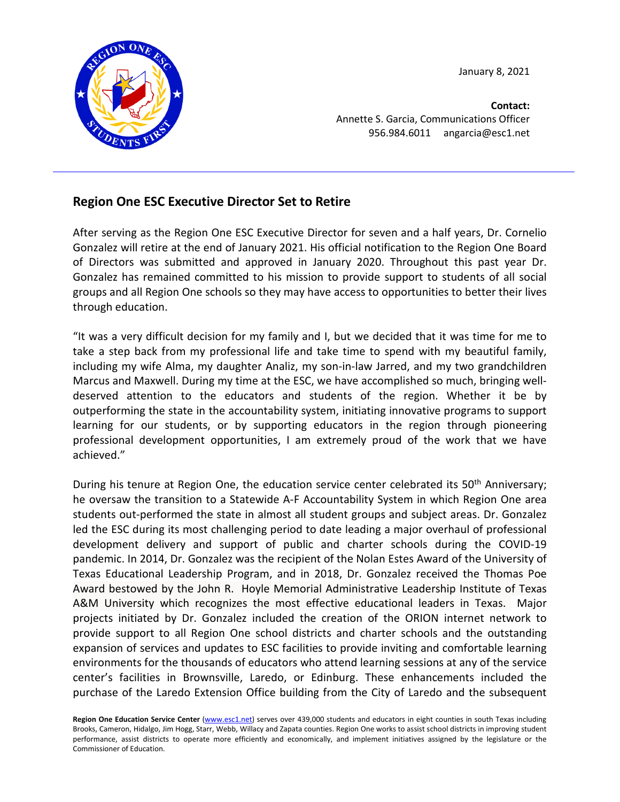January 8, 2021



**Contact:** Annette S. Garcia, Communications Officer 956.984.6011 angarcia@esc1.net

## **Region One ESC Executive Director Set to Retire**

After serving as the Region One ESC Executive Director for seven and a half years, Dr. Cornelio Gonzalez will retire at the end of January 2021. His official notification to the Region One Board of Directors was submitted and approved in January 2020. Throughout this past year Dr. Gonzalez has remained committed to his mission to provide support to students of all social groups and all Region One schools so they may have access to opportunities to better their lives through education.

"It was a very difficult decision for my family and I, but we decided that it was time for me to take a step back from my professional life and take time to spend with my beautiful family, including my wife Alma, my daughter Analiz, my son-in-law Jarred, and my two grandchildren Marcus and Maxwell. During my time at the ESC, we have accomplished so much, bringing welldeserved attention to the educators and students of the region. Whether it be by outperforming the state in the accountability system, initiating innovative programs to support learning for our students, or by supporting educators in the region through pioneering professional development opportunities, I am extremely proud of the work that we have achieved."

During his tenure at Region One, the education service center celebrated its 50<sup>th</sup> Anniversary; he oversaw the transition to a Statewide A-F Accountability System in which Region One area students out-performed the state in almost all student groups and subject areas. Dr. Gonzalez led the ESC during its most challenging period to date leading a major overhaul of professional development delivery and support of public and charter schools during the COVID-19 pandemic. In 2014, Dr. Gonzalez was the recipient of the Nolan Estes Award of the University of Texas Educational Leadership Program, and in 2018, Dr. Gonzalez received the Thomas Poe Award bestowed by the John R. Hoyle Memorial Administrative Leadership Institute of Texas A&M University which recognizes the most effective educational leaders in Texas. Major projects initiated by Dr. Gonzalez included the creation of the ORION internet network to provide support to all Region One school districts and charter schools and the outstanding expansion of services and updates to ESC facilities to provide inviting and comfortable learning environments for the thousands of educators who attend learning sessions at any of the service center's facilities in Brownsville, Laredo, or Edinburg. These enhancements included the purchase of the Laredo Extension Office building from the City of Laredo and the subsequent

Region One Education Service Center [\(www.esc1.net\)](http://www.esc1.net/) serves over 439,000 students and educators in eight counties in south Texas including Brooks, Cameron, Hidalgo, Jim Hogg, Starr, Webb, Willacy and Zapata counties. Region One works to assist school districts in improving student performance, assist districts to operate more efficiently and economically, and implement initiatives assigned by the legislature or the Commissioner of Education.